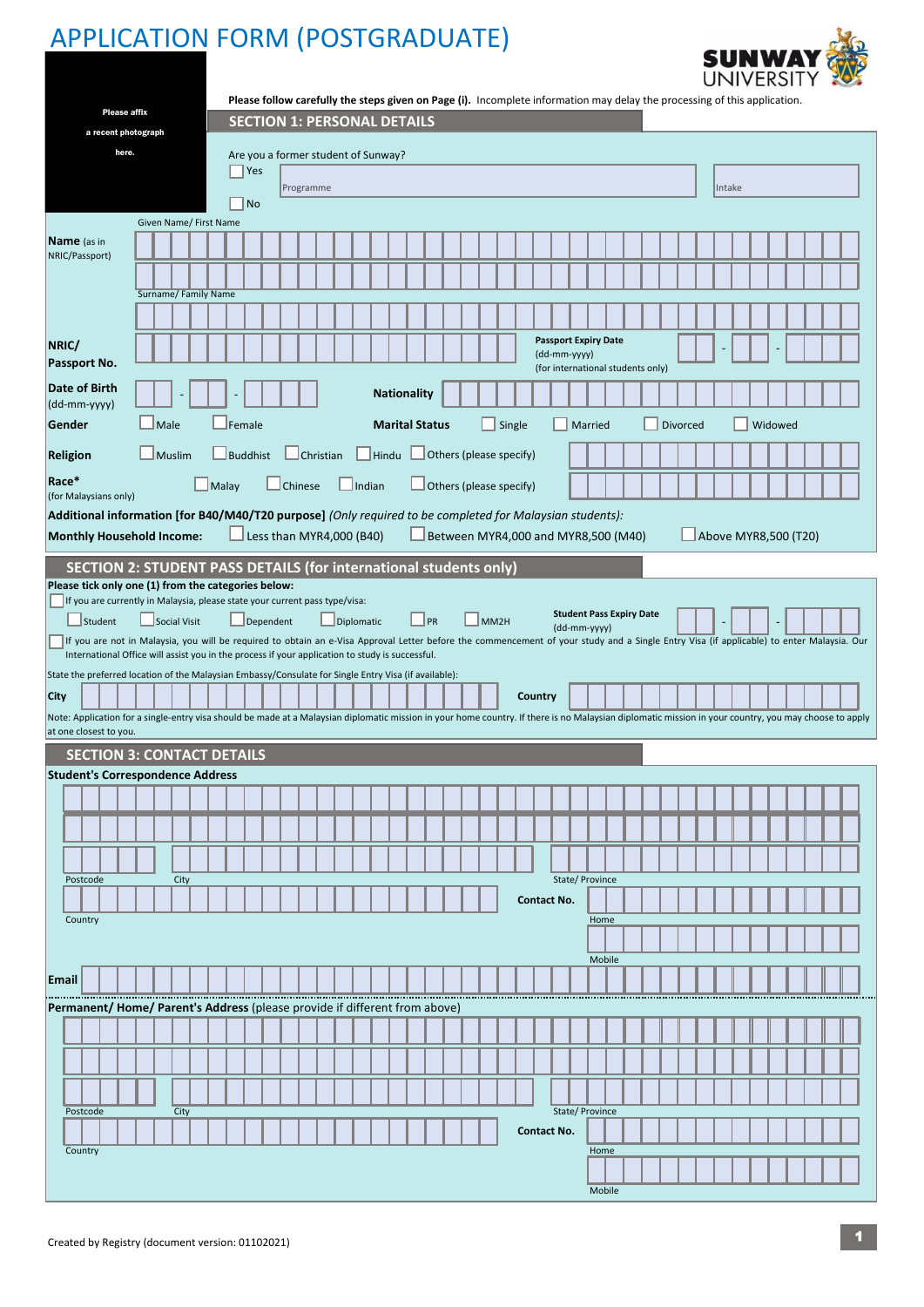## APPLICATION FORM (POSTGRADUATE)



|             |                                                                                                                                    |                     |       | <b>Please affix</b> |               |      |                        |                 |  |  |                |                                     |  |                   |  | <b>SECTION 1: PERSONAL DETAILS</b> |  |  |                                             |        |                    |             | Please follow carefully the steps given on Page (i). Incomplete information may delay the processing of this application. |         |  |  |                 |        |  |         |                      |  |                                                                                                                                                                                                       |  |
|-------------|------------------------------------------------------------------------------------------------------------------------------------|---------------------|-------|---------------------|---------------|------|------------------------|-----------------|--|--|----------------|-------------------------------------|--|-------------------|--|------------------------------------|--|--|---------------------------------------------|--------|--------------------|-------------|---------------------------------------------------------------------------------------------------------------------------|---------|--|--|-----------------|--------|--|---------|----------------------|--|-------------------------------------------------------------------------------------------------------------------------------------------------------------------------------------------------------|--|
|             |                                                                                                                                    | a recent photograph |       |                     |               |      |                        |                 |  |  |                |                                     |  |                   |  |                                    |  |  |                                             |        |                    |             |                                                                                                                           |         |  |  |                 |        |  |         |                      |  |                                                                                                                                                                                                       |  |
|             |                                                                                                                                    |                     | here. |                     |               |      |                        |                 |  |  |                | Are you a former student of Sunway? |  |                   |  |                                    |  |  |                                             |        |                    |             |                                                                                                                           |         |  |  |                 |        |  |         |                      |  |                                                                                                                                                                                                       |  |
|             |                                                                                                                                    |                     |       |                     |               |      |                        | Yes             |  |  |                | Programme                           |  |                   |  |                                    |  |  |                                             |        |                    |             |                                                                                                                           |         |  |  |                 | Intake |  |         |                      |  |                                                                                                                                                                                                       |  |
|             |                                                                                                                                    |                     |       |                     |               |      |                        | $ $ No          |  |  |                |                                     |  |                   |  |                                    |  |  |                                             |        |                    |             |                                                                                                                           |         |  |  |                 |        |  |         |                      |  |                                                                                                                                                                                                       |  |
|             | <b>Name</b> (as in                                                                                                                 |                     |       |                     |               |      | Given Name/ First Name |                 |  |  |                |                                     |  |                   |  |                                    |  |  |                                             |        |                    |             |                                                                                                                           |         |  |  |                 |        |  |         |                      |  |                                                                                                                                                                                                       |  |
|             | NRIC/Passport)                                                                                                                     |                     |       |                     |               |      |                        |                 |  |  |                |                                     |  |                   |  |                                    |  |  |                                             |        |                    |             |                                                                                                                           |         |  |  |                 |        |  |         |                      |  |                                                                                                                                                                                                       |  |
|             |                                                                                                                                    |                     |       |                     |               |      | Surname/Family Name    |                 |  |  |                |                                     |  |                   |  |                                    |  |  |                                             |        |                    |             |                                                                                                                           |         |  |  |                 |        |  |         |                      |  |                                                                                                                                                                                                       |  |
|             |                                                                                                                                    |                     |       |                     |               |      |                        |                 |  |  |                |                                     |  |                   |  |                                    |  |  |                                             |        |                    |             |                                                                                                                           |         |  |  |                 |        |  |         |                      |  |                                                                                                                                                                                                       |  |
|             | NRIC/<br>Passport No.                                                                                                              |                     |       |                     |               |      |                        |                 |  |  |                |                                     |  |                   |  |                                    |  |  |                                             |        |                    |             | <b>Passport Expiry Date</b><br>(dd-mm-yyyy)<br>(for international students only)                                          |         |  |  |                 |        |  |         |                      |  |                                                                                                                                                                                                       |  |
|             | Date of Birth                                                                                                                      |                     |       |                     |               |      |                        |                 |  |  |                |                                     |  |                   |  | <b>Nationality</b>                 |  |  |                                             |        |                    |             |                                                                                                                           |         |  |  |                 |        |  |         |                      |  |                                                                                                                                                                                                       |  |
|             | (dd-mm-yyyy)<br>Gender                                                                                                             |                     |       |                     | $\Box$ Male   |      |                        | $\Box$ Female   |  |  |                |                                     |  |                   |  | <b>Marital Status</b>              |  |  |                                             | Single |                    |             |                                                                                                                           | Married |  |  | <b>Divorced</b> |        |  | Widowed |                      |  |                                                                                                                                                                                                       |  |
|             | <b>Religion</b>                                                                                                                    |                     |       |                     | $\Box$ Muslim |      |                        | $\Box$ Buddhist |  |  |                | $\Box$ Christian                    |  |                   |  |                                    |  |  | $\Box$ Hindu $\Box$ Others (please specify) |        |                    |             |                                                                                                                           |         |  |  |                 |        |  |         |                      |  |                                                                                                                                                                                                       |  |
|             | Race*                                                                                                                              |                     |       |                     |               |      | $\blacksquare$ Malay   |                 |  |  | <b>Chinese</b> |                                     |  | $\vert$ Indian    |  |                                    |  |  | Others (please specify)                     |        |                    |             |                                                                                                                           |         |  |  |                 |        |  |         |                      |  |                                                                                                                                                                                                       |  |
|             | (for Malaysians only)                                                                                                              |                     |       |                     |               |      |                        |                 |  |  |                |                                     |  |                   |  |                                    |  |  |                                             |        |                    |             | Additional information [for B40/M40/T20 purpose] (Only required to be completed for Malaysian students):                  |         |  |  |                 |        |  |         |                      |  |                                                                                                                                                                                                       |  |
|             | Monthly Household Income:                                                                                                          |                     |       |                     |               |      |                        |                 |  |  |                | $L$ Less than MYR4,000 (B40)        |  |                   |  |                                    |  |  |                                             |        |                    |             | Between MYR4,000 and MYR8,500 (M40)                                                                                       |         |  |  |                 |        |  |         | Above MYR8,500 (T20) |  |                                                                                                                                                                                                       |  |
|             | SECTION 2: STUDENT PASS DETAILS (for international students only)                                                                  |                     |       |                     |               |      |                        |                 |  |  |                |                                     |  |                   |  |                                    |  |  |                                             |        |                    |             |                                                                                                                           |         |  |  |                 |        |  |         |                      |  |                                                                                                                                                                                                       |  |
|             | Please tick only one (1) from the categories below:<br>If you are currently in Malaysia, please state your current pass type/visa: |                     |       |                     |               |      |                        |                 |  |  |                |                                     |  |                   |  |                                    |  |  |                                             |        |                    |             |                                                                                                                           |         |  |  |                 |        |  |         |                      |  |                                                                                                                                                                                                       |  |
|             |                                                                                                                                    | Student             |       |                     | Social Visit  |      |                        | Dependent       |  |  |                |                                     |  | $\Box$ Diplomatic |  | $\Box$ PR                          |  |  | MM <sub>2H</sub>                            |        |                    |             | <b>Student Pass Expiry Date</b><br>(dd-mm-yyyy)                                                                           |         |  |  |                 |        |  |         |                      |  |                                                                                                                                                                                                       |  |
|             | International Office will assist you in the process if your application to study is successful.                                    |                     |       |                     |               |      |                        |                 |  |  |                |                                     |  |                   |  |                                    |  |  |                                             |        |                    |             |                                                                                                                           |         |  |  |                 |        |  |         |                      |  | If you are not in Malaysia, you will be required to obtain an e-Visa Approval Letter before the commencement of your study and a Single Entry Visa (if applicable) to enter Malaysia. Our             |  |
|             | State the preferred location of the Malaysian Embassy/Consulate for Single Entry Visa (if available):                              |                     |       |                     |               |      |                        |                 |  |  |                |                                     |  |                   |  |                                    |  |  |                                             |        |                    |             |                                                                                                                           |         |  |  |                 |        |  |         |                      |  |                                                                                                                                                                                                       |  |
| <b>City</b> |                                                                                                                                    |                     |       |                     |               |      |                        |                 |  |  |                |                                     |  |                   |  |                                    |  |  |                                             |        | <b>Country</b>     |             |                                                                                                                           |         |  |  |                 |        |  |         |                      |  |                                                                                                                                                                                                       |  |
|             | at one closest to you.                                                                                                             |                     |       |                     |               |      |                        |                 |  |  |                |                                     |  |                   |  |                                    |  |  |                                             |        |                    |             |                                                                                                                           |         |  |  |                 |        |  |         |                      |  | Note: Application for a single-entry visa should be made at a Malaysian diplomatic mission in your home country. If there is no Malaysian diplomatic mission in your country, you may choose to apply |  |
|             | <b>SECTION 3: CONTACT DETAILS</b>                                                                                                  |                     |       |                     |               |      |                        |                 |  |  |                |                                     |  |                   |  |                                    |  |  |                                             |        |                    |             |                                                                                                                           |         |  |  |                 |        |  |         |                      |  |                                                                                                                                                                                                       |  |
|             | <b>Student's Correspondence Address</b>                                                                                            |                     |       |                     |               |      |                        |                 |  |  |                |                                     |  |                   |  |                                    |  |  |                                             |        |                    |             |                                                                                                                           |         |  |  |                 |        |  |         |                      |  |                                                                                                                                                                                                       |  |
|             |                                                                                                                                    |                     |       |                     |               |      |                        |                 |  |  |                |                                     |  |                   |  |                                    |  |  |                                             |        |                    |             |                                                                                                                           |         |  |  |                 |        |  |         |                      |  |                                                                                                                                                                                                       |  |
|             |                                                                                                                                    |                     |       |                     |               |      |                        |                 |  |  |                |                                     |  |                   |  |                                    |  |  |                                             |        |                    |             |                                                                                                                           |         |  |  |                 |        |  |         |                      |  |                                                                                                                                                                                                       |  |
|             |                                                                                                                                    |                     |       |                     |               |      |                        |                 |  |  |                |                                     |  |                   |  |                                    |  |  |                                             |        |                    |             |                                                                                                                           |         |  |  |                 |        |  |         |                      |  |                                                                                                                                                                                                       |  |
|             | Postcode                                                                                                                           |                     |       |                     |               | City |                        |                 |  |  |                |                                     |  |                   |  |                                    |  |  |                                             |        | <b>Contact No.</b> |             | State/ Province                                                                                                           |         |  |  |                 |        |  |         |                      |  |                                                                                                                                                                                                       |  |
|             | Country                                                                                                                            |                     |       |                     |               |      |                        |                 |  |  |                |                                     |  |                   |  |                                    |  |  |                                             |        |                    |             |                                                                                                                           | Home    |  |  |                 |        |  |         |                      |  |                                                                                                                                                                                                       |  |
|             |                                                                                                                                    |                     |       |                     |               |      |                        |                 |  |  |                |                                     |  |                   |  |                                    |  |  |                                             |        |                    |             |                                                                                                                           |         |  |  |                 |        |  |         |                      |  |                                                                                                                                                                                                       |  |
|             | Email                                                                                                                              |                     |       |                     |               |      |                        |                 |  |  |                |                                     |  |                   |  |                                    |  |  |                                             |        |                    |             |                                                                                                                           | Mobile  |  |  |                 |        |  |         |                      |  |                                                                                                                                                                                                       |  |
|             | Permanent/ Home/ Parent's Address (please provide if different from above)                                                         |                     |       |                     |               |      |                        |                 |  |  |                |                                     |  |                   |  |                                    |  |  |                                             |        |                    |             |                                                                                                                           |         |  |  |                 |        |  |         |                      |  |                                                                                                                                                                                                       |  |
|             |                                                                                                                                    |                     |       |                     |               |      |                        |                 |  |  |                |                                     |  |                   |  |                                    |  |  |                                             |        |                    |             |                                                                                                                           |         |  |  |                 |        |  |         |                      |  |                                                                                                                                                                                                       |  |
|             |                                                                                                                                    |                     |       |                     |               |      |                        |                 |  |  |                |                                     |  |                   |  |                                    |  |  |                                             |        |                    |             |                                                                                                                           |         |  |  |                 |        |  |         |                      |  |                                                                                                                                                                                                       |  |
|             |                                                                                                                                    |                     |       |                     |               |      |                        |                 |  |  |                |                                     |  |                   |  |                                    |  |  |                                             |        |                    |             |                                                                                                                           |         |  |  |                 |        |  |         |                      |  |                                                                                                                                                                                                       |  |
|             | Postcode                                                                                                                           |                     |       |                     |               | City |                        |                 |  |  |                |                                     |  |                   |  |                                    |  |  |                                             |        |                    |             | State/ Province                                                                                                           |         |  |  |                 |        |  |         |                      |  |                                                                                                                                                                                                       |  |
|             |                                                                                                                                    |                     |       |                     |               |      |                        |                 |  |  |                |                                     |  |                   |  |                                    |  |  |                                             |        |                    |             |                                                                                                                           |         |  |  |                 |        |  |         |                      |  |                                                                                                                                                                                                       |  |
|             |                                                                                                                                    |                     |       |                     |               |      |                        |                 |  |  |                |                                     |  |                   |  |                                    |  |  |                                             |        |                    | Contact No. |                                                                                                                           |         |  |  |                 |        |  |         |                      |  |                                                                                                                                                                                                       |  |
|             | Country                                                                                                                            |                     |       |                     |               |      |                        |                 |  |  |                |                                     |  |                   |  |                                    |  |  |                                             |        |                    |             |                                                                                                                           | Home    |  |  |                 |        |  |         |                      |  |                                                                                                                                                                                                       |  |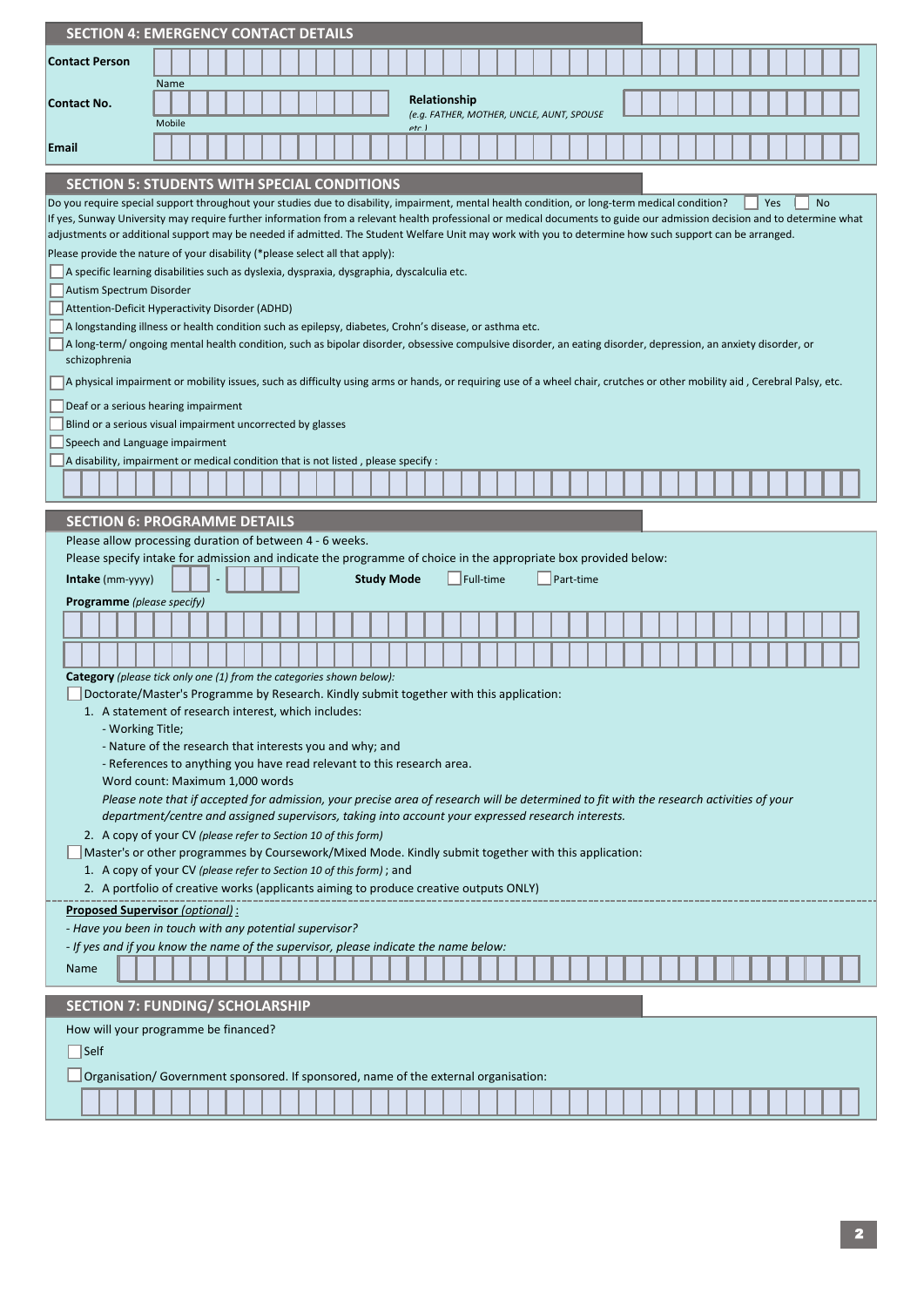|                                   | <b>SECTION 4: EMERGENCY CONTACT DETAILS</b>                                                                                                                                                                                                                                                                                        |
|-----------------------------------|------------------------------------------------------------------------------------------------------------------------------------------------------------------------------------------------------------------------------------------------------------------------------------------------------------------------------------|
| <b>Contact Person</b>             |                                                                                                                                                                                                                                                                                                                                    |
|                                   | Name                                                                                                                                                                                                                                                                                                                               |
| Contact No.                       | Relationship<br>(e.g. FATHER, MOTHER, UNCLE, AUNT, SPOUSE<br>Mobile                                                                                                                                                                                                                                                                |
| Email                             | etr 1                                                                                                                                                                                                                                                                                                                              |
|                                   | <b>SECTION 5: STUDENTS WITH SPECIAL CONDITIONS</b>                                                                                                                                                                                                                                                                                 |
|                                   | Do you require special support throughout your studies due to disability, impairment, mental health condition, or long-term medical condition?<br>Yes<br>No                                                                                                                                                                        |
|                                   | If yes, Sunway University may require further information from a relevant health professional or medical documents to guide our admission decision and to determine what<br>adjustments or additional support may be needed if admitted. The Student Welfare Unit may work with you to determine how such support can be arranged. |
|                                   | Please provide the nature of your disability (*please select all that apply):                                                                                                                                                                                                                                                      |
|                                   | A specific learning disabilities such as dyslexia, dyspraxia, dysgraphia, dyscalculia etc.                                                                                                                                                                                                                                         |
| Autism Spectrum Disorder          |                                                                                                                                                                                                                                                                                                                                    |
|                                   | Attention-Deficit Hyperactivity Disorder (ADHD)<br>A longstanding illness or health condition such as epilepsy, diabetes, Crohn's disease, or asthma etc.                                                                                                                                                                          |
|                                   | A long-term/ ongoing mental health condition, such as bipolar disorder, obsessive compulsive disorder, an eating disorder, depression, an anxiety disorder, or                                                                                                                                                                     |
| schizophrenia                     |                                                                                                                                                                                                                                                                                                                                    |
|                                   | A physical impairment or mobility issues, such as difficulty using arms or hands, or requiring use of a wheel chair, crutches or other mobility aid, Cerebral Palsy, etc.                                                                                                                                                          |
|                                   | Deaf or a serious hearing impairment<br>Blind or a serious visual impairment uncorrected by glasses                                                                                                                                                                                                                                |
| Speech and Language impairment    |                                                                                                                                                                                                                                                                                                                                    |
|                                   | A disability, impairment or medical condition that is not listed, please specify :                                                                                                                                                                                                                                                 |
|                                   |                                                                                                                                                                                                                                                                                                                                    |
|                                   | <b>SECTION 6: PROGRAMME DETAILS</b>                                                                                                                                                                                                                                                                                                |
|                                   | Please allow processing duration of between 4 - 6 weeks.                                                                                                                                                                                                                                                                           |
|                                   | Please specify intake for admission and indicate the programme of choice in the appropriate box provided below:                                                                                                                                                                                                                    |
| <b>Intake</b> (mm-yyyy)           | Full-time<br>Part-time<br><b>Study Mode</b>                                                                                                                                                                                                                                                                                        |
| <b>Programme</b> (please specify) |                                                                                                                                                                                                                                                                                                                                    |
|                                   |                                                                                                                                                                                                                                                                                                                                    |
|                                   |                                                                                                                                                                                                                                                                                                                                    |
|                                   | <b>Category</b> (please tick only one (1) from the categories shown below):                                                                                                                                                                                                                                                        |
|                                   | Doctorate/Master's Programme by Research. Kindly submit together with this application:<br>1. A statement of research interest, which includes:                                                                                                                                                                                    |
| - Working Title;                  |                                                                                                                                                                                                                                                                                                                                    |
|                                   | - Nature of the research that interests you and why; and                                                                                                                                                                                                                                                                           |
|                                   | - References to anything you have read relevant to this research area.<br>Word count: Maximum 1,000 words                                                                                                                                                                                                                          |
|                                   | Please note that if accepted for admission, your precise area of research will be determined to fit with the research activities of your                                                                                                                                                                                           |
|                                   | department/centre and assigned supervisors, taking into account your expressed research interests.                                                                                                                                                                                                                                 |
|                                   | 2. A copy of your CV (please refer to Section 10 of this form)<br>Master's or other programmes by Coursework/Mixed Mode. Kindly submit together with this application:                                                                                                                                                             |
|                                   | 1. A copy of your CV (please refer to Section 10 of this form); and                                                                                                                                                                                                                                                                |
|                                   | 2. A portfolio of creative works (applicants aiming to produce creative outputs ONLY)                                                                                                                                                                                                                                              |
|                                   | <b>Proposed Supervisor (optional):</b>                                                                                                                                                                                                                                                                                             |
|                                   | - Have you been in touch with any potential supervisor?<br>- If yes and if you know the name of the supervisor, please indicate the name below:                                                                                                                                                                                    |
| Name                              |                                                                                                                                                                                                                                                                                                                                    |
|                                   |                                                                                                                                                                                                                                                                                                                                    |
|                                   | <b>SECTION 7: FUNDING/ SCHOLARSHIP</b>                                                                                                                                                                                                                                                                                             |
|                                   | How will your programme be financed?                                                                                                                                                                                                                                                                                               |
| Self                              |                                                                                                                                                                                                                                                                                                                                    |
|                                   | Organisation/ Government sponsored. If sponsored, name of the external organisation:                                                                                                                                                                                                                                               |
|                                   |                                                                                                                                                                                                                                                                                                                                    |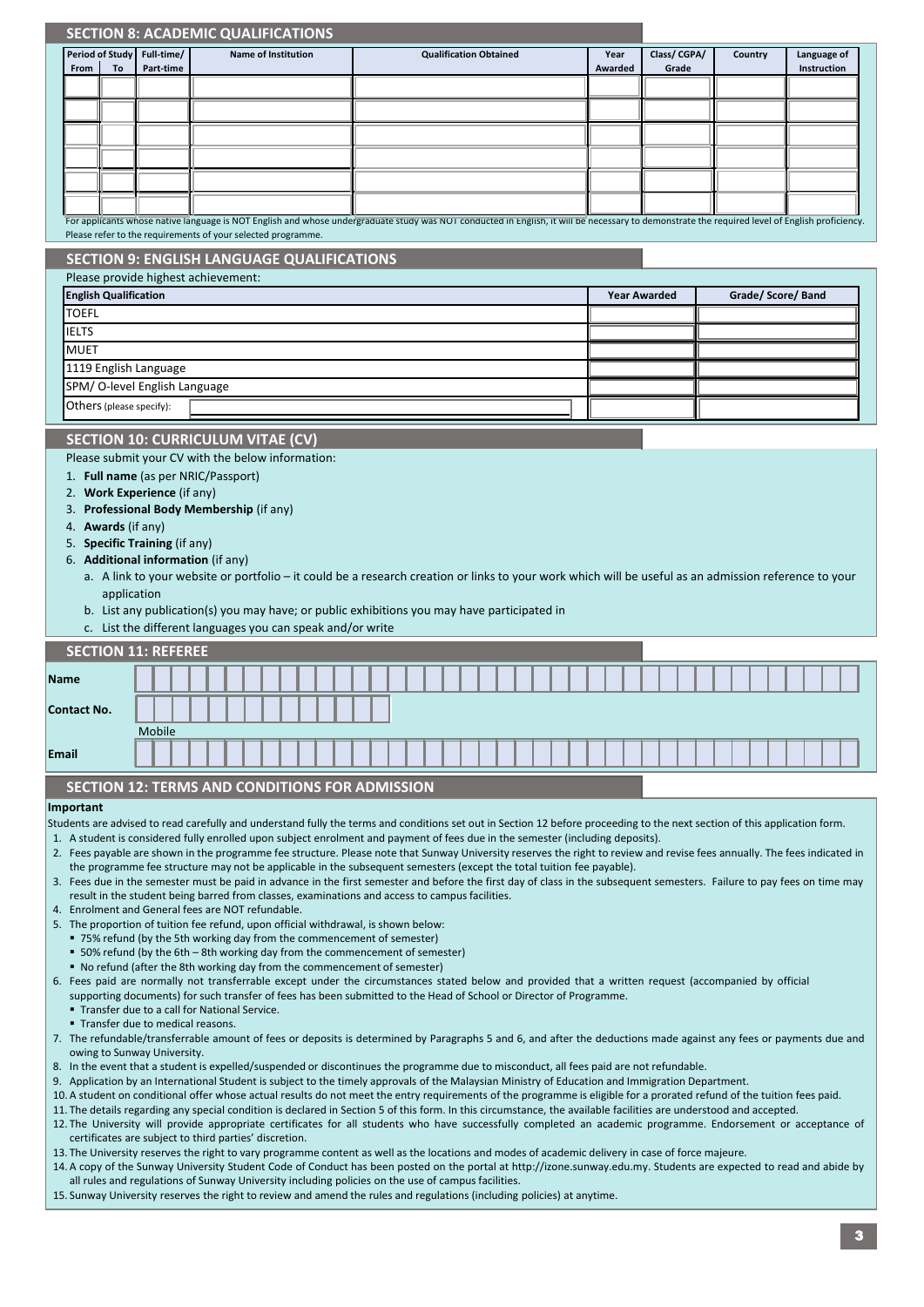|       |              | <b>SECTION 8: ACADEMIC QUALIFICATIONS</b>                                                                                                                                                                                                                                                                                                     |        |                         |  |  |                            |  |  |  |                               |  |  |  |                 |                     |                      |  |         |                    |  |                            |  |
|-------|--------------|-----------------------------------------------------------------------------------------------------------------------------------------------------------------------------------------------------------------------------------------------------------------------------------------------------------------------------------------------|--------|-------------------------|--|--|----------------------------|--|--|--|-------------------------------|--|--|--|-----------------|---------------------|----------------------|--|---------|--------------------|--|----------------------------|--|
|       | From         | Period of Study<br>To                                                                                                                                                                                                                                                                                                                         |        | Full-time/<br>Part-time |  |  | <b>Name of Institution</b> |  |  |  | <b>Qualification Obtained</b> |  |  |  | Year<br>Awarded |                     | Class/CGPA/<br>Grade |  | Country |                    |  | Language of<br>Instruction |  |
|       |              |                                                                                                                                                                                                                                                                                                                                               |        |                         |  |  |                            |  |  |  |                               |  |  |  |                 |                     |                      |  |         |                    |  |                            |  |
|       |              |                                                                                                                                                                                                                                                                                                                                               |        |                         |  |  |                            |  |  |  |                               |  |  |  |                 |                     |                      |  |         |                    |  |                            |  |
|       |              |                                                                                                                                                                                                                                                                                                                                               |        |                         |  |  |                            |  |  |  |                               |  |  |  |                 |                     |                      |  |         |                    |  |                            |  |
|       |              |                                                                                                                                                                                                                                                                                                                                               |        |                         |  |  |                            |  |  |  |                               |  |  |  |                 |                     |                      |  |         |                    |  |                            |  |
|       |              |                                                                                                                                                                                                                                                                                                                                               |        |                         |  |  |                            |  |  |  |                               |  |  |  |                 |                     |                      |  |         |                    |  |                            |  |
|       |              |                                                                                                                                                                                                                                                                                                                                               |        |                         |  |  |                            |  |  |  |                               |  |  |  |                 |                     |                      |  |         |                    |  |                            |  |
|       |              | For applicants whose native language is NOT English and whose undergraduate study was NOT conducted in English, it will be necessary to demonstrate the required level of English proficiency.                                                                                                                                                |        |                         |  |  |                            |  |  |  |                               |  |  |  |                 |                     |                      |  |         |                    |  |                            |  |
|       |              | Please refer to the requirements of your selected programme.                                                                                                                                                                                                                                                                                  |        |                         |  |  |                            |  |  |  |                               |  |  |  |                 |                     |                      |  |         |                    |  |                            |  |
|       |              | <b>SECTION 9: ENGLISH LANGUAGE QUALIFICATIONS</b>                                                                                                                                                                                                                                                                                             |        |                         |  |  |                            |  |  |  |                               |  |  |  |                 |                     |                      |  |         |                    |  |                            |  |
|       |              | Please provide highest achievement:                                                                                                                                                                                                                                                                                                           |        |                         |  |  |                            |  |  |  |                               |  |  |  |                 |                     |                      |  |         |                    |  |                            |  |
|       |              | <b>English Qualification</b>                                                                                                                                                                                                                                                                                                                  |        |                         |  |  |                            |  |  |  |                               |  |  |  |                 | <b>Year Awarded</b> |                      |  |         | Grade/ Score/ Band |  |                            |  |
|       | <b>TOEFL</b> |                                                                                                                                                                                                                                                                                                                                               |        |                         |  |  |                            |  |  |  |                               |  |  |  |                 |                     |                      |  |         |                    |  |                            |  |
|       | <b>IELTS</b> |                                                                                                                                                                                                                                                                                                                                               |        |                         |  |  |                            |  |  |  |                               |  |  |  |                 |                     |                      |  |         |                    |  |                            |  |
|       | <b>MUET</b>  |                                                                                                                                                                                                                                                                                                                                               |        |                         |  |  |                            |  |  |  |                               |  |  |  |                 |                     |                      |  |         |                    |  |                            |  |
|       |              | 1119 English Language<br>SPM/O-level English Language                                                                                                                                                                                                                                                                                         |        |                         |  |  |                            |  |  |  |                               |  |  |  |                 |                     |                      |  |         |                    |  |                            |  |
|       |              | Others (please specify):                                                                                                                                                                                                                                                                                                                      |        |                         |  |  |                            |  |  |  |                               |  |  |  |                 |                     |                      |  |         |                    |  |                            |  |
|       |              |                                                                                                                                                                                                                                                                                                                                               |        |                         |  |  |                            |  |  |  |                               |  |  |  |                 |                     |                      |  |         |                    |  |                            |  |
|       |              | <b>SECTION 10: CURRICULUM VITAE (CV)</b>                                                                                                                                                                                                                                                                                                      |        |                         |  |  |                            |  |  |  |                               |  |  |  |                 |                     |                      |  |         |                    |  |                            |  |
|       |              | Please submit your CV with the below information:                                                                                                                                                                                                                                                                                             |        |                         |  |  |                            |  |  |  |                               |  |  |  |                 |                     |                      |  |         |                    |  |                            |  |
|       |              | 1. Full name (as per NRIC/Passport)<br>2. Work Experience (if any)                                                                                                                                                                                                                                                                            |        |                         |  |  |                            |  |  |  |                               |  |  |  |                 |                     |                      |  |         |                    |  |                            |  |
|       | 3.           | Professional Body Membership (if any)                                                                                                                                                                                                                                                                                                         |        |                         |  |  |                            |  |  |  |                               |  |  |  |                 |                     |                      |  |         |                    |  |                            |  |
|       |              | 4. Awards (if any)                                                                                                                                                                                                                                                                                                                            |        |                         |  |  |                            |  |  |  |                               |  |  |  |                 |                     |                      |  |         |                    |  |                            |  |
|       |              | 5. Specific Training (if any)                                                                                                                                                                                                                                                                                                                 |        |                         |  |  |                            |  |  |  |                               |  |  |  |                 |                     |                      |  |         |                    |  |                            |  |
|       |              | 6. Additional information (if any)<br>a. A link to your website or portfolio – it could be a research creation or links to your work which will be useful as an admission reference to your                                                                                                                                                   |        |                         |  |  |                            |  |  |  |                               |  |  |  |                 |                     |                      |  |         |                    |  |                            |  |
|       |              | application                                                                                                                                                                                                                                                                                                                                   |        |                         |  |  |                            |  |  |  |                               |  |  |  |                 |                     |                      |  |         |                    |  |                            |  |
|       |              | b. List any publication(s) you may have; or public exhibitions you may have participated in                                                                                                                                                                                                                                                   |        |                         |  |  |                            |  |  |  |                               |  |  |  |                 |                     |                      |  |         |                    |  |                            |  |
|       |              | c. List the different languages you can speak and/or write                                                                                                                                                                                                                                                                                    |        |                         |  |  |                            |  |  |  |                               |  |  |  |                 |                     |                      |  |         |                    |  |                            |  |
|       |              | <b>SECTION 11: REFEREE</b>                                                                                                                                                                                                                                                                                                                    |        |                         |  |  |                            |  |  |  |                               |  |  |  |                 |                     |                      |  |         |                    |  |                            |  |
| Name  |              |                                                                                                                                                                                                                                                                                                                                               |        |                         |  |  |                            |  |  |  |                               |  |  |  |                 |                     |                      |  |         |                    |  |                            |  |
|       | Contact No.  |                                                                                                                                                                                                                                                                                                                                               |        |                         |  |  |                            |  |  |  |                               |  |  |  |                 |                     |                      |  |         |                    |  |                            |  |
|       |              |                                                                                                                                                                                                                                                                                                                                               | Mobile |                         |  |  |                            |  |  |  |                               |  |  |  |                 |                     |                      |  |         |                    |  |                            |  |
| Email |              |                                                                                                                                                                                                                                                                                                                                               |        |                         |  |  |                            |  |  |  |                               |  |  |  |                 |                     |                      |  |         |                    |  |                            |  |
|       |              |                                                                                                                                                                                                                                                                                                                                               |        |                         |  |  |                            |  |  |  |                               |  |  |  |                 |                     |                      |  |         |                    |  |                            |  |
|       |              | <b>SECTION 12: TERMS AND CONDITIONS FOR ADMISSION</b>                                                                                                                                                                                                                                                                                         |        |                         |  |  |                            |  |  |  |                               |  |  |  |                 |                     |                      |  |         |                    |  |                            |  |
|       | Important    |                                                                                                                                                                                                                                                                                                                                               |        |                         |  |  |                            |  |  |  |                               |  |  |  |                 |                     |                      |  |         |                    |  |                            |  |
|       |              | Students are advised to read carefully and understand fully the terms and conditions set out in Section 12 before proceeding to the next section of this application form.<br>1. A student is considered fully enrolled upon subject enrolment and payment of fees due in the semester (including deposits).                                  |        |                         |  |  |                            |  |  |  |                               |  |  |  |                 |                     |                      |  |         |                    |  |                            |  |
|       |              | 2. Fees payable are shown in the programme fee structure. Please note that Sunway University reserves the right to review and revise fees annually. The fees indicated in                                                                                                                                                                     |        |                         |  |  |                            |  |  |  |                               |  |  |  |                 |                     |                      |  |         |                    |  |                            |  |
|       |              | the programme fee structure may not be applicable in the subsequent semesters (except the total tuition fee payable).<br>3. Fees due in the semester must be paid in advance in the first semester and before the first day of class in the subsequent semesters. Failure to pay fees on time may                                             |        |                         |  |  |                            |  |  |  |                               |  |  |  |                 |                     |                      |  |         |                    |  |                            |  |
|       |              | result in the student being barred from classes, examinations and access to campus facilities.                                                                                                                                                                                                                                                |        |                         |  |  |                            |  |  |  |                               |  |  |  |                 |                     |                      |  |         |                    |  |                            |  |
|       |              | 4. Enrolment and General fees are NOT refundable.<br>5. The proportion of tuition fee refund, upon official withdrawal, is shown below:                                                                                                                                                                                                       |        |                         |  |  |                            |  |  |  |                               |  |  |  |                 |                     |                      |  |         |                    |  |                            |  |
|       |              | ■ 75% refund (by the 5th working day from the commencement of semester)                                                                                                                                                                                                                                                                       |        |                         |  |  |                            |  |  |  |                               |  |  |  |                 |                     |                      |  |         |                    |  |                            |  |
|       |              | ■ 50% refund (by the 6th – 8th working day from the commencement of semester)<br>■ No refund (after the 8th working day from the commencement of semester)                                                                                                                                                                                    |        |                         |  |  |                            |  |  |  |                               |  |  |  |                 |                     |                      |  |         |                    |  |                            |  |
|       |              | 6. Fees paid are normally not transferrable except under the circumstances stated below and provided that a written request (accompanied by official<br>supporting documents) for such transfer of fees has been submitted to the Head of School or Director of Programme.                                                                    |        |                         |  |  |                            |  |  |  |                               |  |  |  |                 |                     |                      |  |         |                    |  |                            |  |
|       |              | " Transfer due to a call for National Service.<br>" Transfer due to medical reasons.                                                                                                                                                                                                                                                          |        |                         |  |  |                            |  |  |  |                               |  |  |  |                 |                     |                      |  |         |                    |  |                            |  |
|       |              | 7. The refundable/transferrable amount of fees or deposits is determined by Paragraphs 5 and 6, and after the deductions made against any fees or payments due and<br>owing to Sunway University.                                                                                                                                             |        |                         |  |  |                            |  |  |  |                               |  |  |  |                 |                     |                      |  |         |                    |  |                            |  |
|       |              | 8. In the event that a student is expelled/suspended or discontinues the programme due to misconduct, all fees paid are not refundable.                                                                                                                                                                                                       |        |                         |  |  |                            |  |  |  |                               |  |  |  |                 |                     |                      |  |         |                    |  |                            |  |
|       |              | 9. Application by an International Student is subject to the timely approvals of the Malaysian Ministry of Education and Immigration Department.                                                                                                                                                                                              |        |                         |  |  |                            |  |  |  |                               |  |  |  |                 |                     |                      |  |         |                    |  |                            |  |
|       |              | 10. A student on conditional offer whose actual results do not meet the entry requirements of the programme is eligible for a prorated refund of the tuition fees paid.<br>11. The details regarding any special condition is declared in Section 5 of this form. In this circumstance, the available facilities are understood and accepted. |        |                         |  |  |                            |  |  |  |                               |  |  |  |                 |                     |                      |  |         |                    |  |                            |  |
|       |              | 12. The University will provide appropriate certificates for all students who have successfully completed an academic programme. Endorsement or acceptance of                                                                                                                                                                                 |        |                         |  |  |                            |  |  |  |                               |  |  |  |                 |                     |                      |  |         |                    |  |                            |  |
|       |              | certificates are subject to third parties' discretion.<br>13. The University reserves the right to vary programme content as well as the locations and modes of academic delivery in case of force majeure.                                                                                                                                   |        |                         |  |  |                            |  |  |  |                               |  |  |  |                 |                     |                      |  |         |                    |  |                            |  |
|       |              | 14. A copy of the Sunway University Student Code of Conduct has been posted on the portal at http://izone.sunway.edu.my. Students are expected to read and abide by                                                                                                                                                                           |        |                         |  |  |                            |  |  |  |                               |  |  |  |                 |                     |                      |  |         |                    |  |                            |  |
|       |              | all rules and regulations of Sunway University including policies on the use of campus facilities.<br>15. Sunway University reserves the right to review and amend the rules and regulations (including policies) at anytime.                                                                                                                 |        |                         |  |  |                            |  |  |  |                               |  |  |  |                 |                     |                      |  |         |                    |  |                            |  |
|       |              |                                                                                                                                                                                                                                                                                                                                               |        |                         |  |  |                            |  |  |  |                               |  |  |  |                 |                     |                      |  |         |                    |  |                            |  |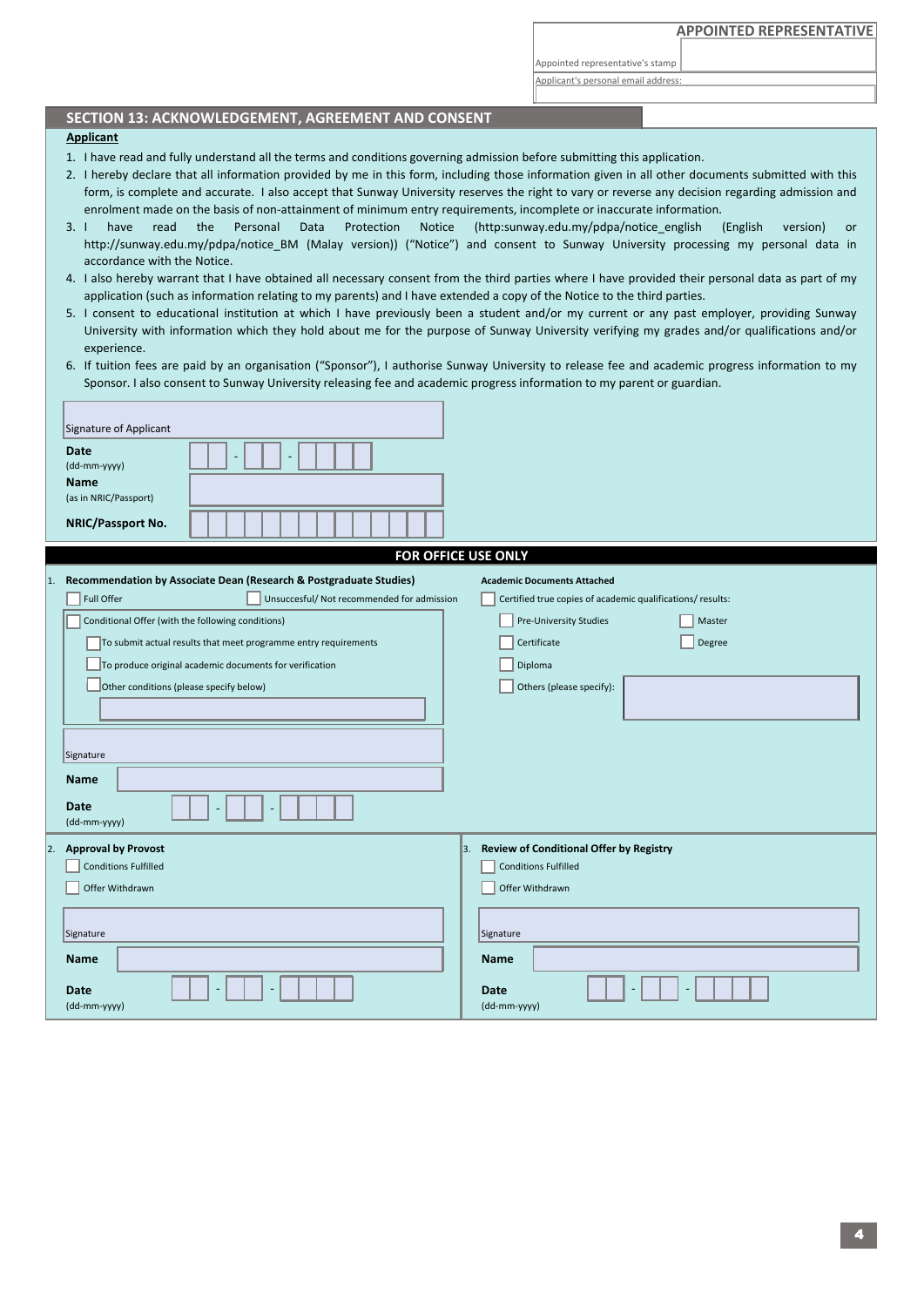Appointed representative's stamp

Applicant's personal email address:

## **SECTION 13: ACKNOWLEDGEMENT, AGREEMENT AND CONSENT**

## **Applicant**

- 1. I have read and fully understand all the terms and conditions governing admission before submitting this application.
- 2. I hereby declare that all information provided by me in this form, including those information given in all other documents submitted with this form, is complete and accurate. I also accept that Sunway University reserves the right to vary or reverse any decision regarding admission and enrolment made on the basis of non-attainment of minimum entry requirements, incomplete or inaccurate information.
- $3.1$ have read the Personal Data Protection Notice (http:sunway.edu.my/pdpa/notice\_english (English version) or http://sunway.edu.my/pdpa/notice\_BM (Malay version)) ("Notice") and consent to Sunway University processing my personal data in accordance with the Notice.
- 4. I also hereby warrant that I have obtained all necessary consent from the third parties where I have provided their personal data as part of my application (such as information relating to my parents) and I have extended a copy of the Notice to the third parties.
- 5. I consent to educational institution at which I have previously been a student and/or my current or any past employer, providing Sunway University with information which they hold about me for the purpose of Sunway University verifying my grades and/or qualifications and/or experience.
- 6. If tuition fees are paid by an organisation ("Sponsor"), I authorise Sunway University to release fee and academic progress information to my Sponsor. I also consent to Sunway University releasing fee and academic progress information to my parent or guardian.

|    | Signature of Applicant<br><b>Date</b><br>(dd-mm-yyyy)<br>Name<br>(as in NRIC/Passport)<br>NRIC/Passport No.                                                                                                                                                                                                                                                                                                             |    |                                                                                                                                                                                                                            |  |
|----|-------------------------------------------------------------------------------------------------------------------------------------------------------------------------------------------------------------------------------------------------------------------------------------------------------------------------------------------------------------------------------------------------------------------------|----|----------------------------------------------------------------------------------------------------------------------------------------------------------------------------------------------------------------------------|--|
|    |                                                                                                                                                                                                                                                                                                                                                                                                                         |    |                                                                                                                                                                                                                            |  |
| 1. | Recommendation by Associate Dean (Research & Postgraduate Studies)<br>Full Offer<br>Unsuccesful/ Not recommended for admission<br>Conditional Offer (with the following conditions)<br>To submit actual results that meet programme entry requirements<br>To produce original academic documents for verification<br>Other conditions (please specify below)<br>Signature<br><b>Name</b><br><b>Date</b><br>(dd-mm-yyyy) |    | FOR OFFICE USE ONLY<br><b>Academic Documents Attached</b><br>Certified true copies of academic qualifications/results:<br>Pre-University Studies<br>Master<br>Degree<br>Certificate<br>Diploma<br>Others (please specify): |  |
|    | 2. Approval by Provost<br><b>Conditions Fulfilled</b><br>Offer Withdrawn<br>Signature<br><b>Name</b><br>Date<br>(dd-mm-yyyy)                                                                                                                                                                                                                                                                                            | 3. | <b>Review of Conditional Offer by Registry</b><br><b>Conditions Fulfilled</b><br>Offer Withdrawn<br>Signature<br><b>Name</b><br>Date<br>(dd-mm-yyyy)                                                                       |  |